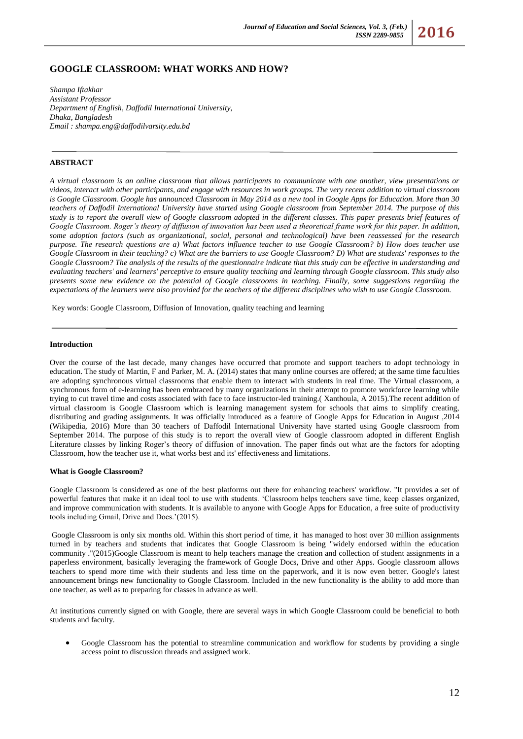

# **GOOGLE CLASSROOM: WHAT WORKS AND HOW?**

*Shampa Iftakhar Assistant Professor Department of English, Daffodil International University, Dhaka, Bangladesh Email [: shampa.eng@daffodilvarsity.edu.bd](mailto:shampa.eng@daffodilvarsity.edu.bd)*

# **ABSTRACT**

*A virtual classroom is an online classroom that allows participants to communicate with one another, view presentations or videos, interact with other participants, and engage with resources in work groups. The very recent addition to virtual classroom is Google Classroom. Google has announced Classroom in May 2014 as a new tool in Google Apps for Education. More than 30 teachers of Daffodil International University have started using Google classroom from September 2014. The purpose of this study is to report the overall view of Google classroom adopted in the different classes. This paper presents brief features of Google Classroom. Roger's theory of diffusion of innovation has been used a theoretical frame work for this paper. In addition, some adoption factors (such as organizational, social, personal and technological) have been reassessed for the research purpose. The research questions are a) What factors influence teacher to use Google Classroom? b) How does teacher use Google Classroom in their teaching? c) What are the barriers to use Google Classroom? D) What are students' responses to the Google Classroom? The analysis of the results of the questionnaire indicate that this study can be effective in understanding and evaluating teachers' and learners' perceptive to ensure quality teaching and learning through Google classroom. This study also presents some new evidence on the potential of Google classrooms in teaching. Finally, some suggestions regarding the expectations of the learners were also provided for the teachers of the different disciplines who wish to use Google Classroom.*

Key words: Google Classroom, Diffusion of Innovation, quality teaching and learning

#### **Introduction**

Over the course of the last decade, many changes have occurred that promote and support teachers to adopt technology in education. The study of Martin, F and Parker, M. A. (2014) states that many online courses are offered; at the same time faculties are adopting synchronous virtual classrooms that enable them to interact with students in real time. The Virtual classroom, a synchronous form of e-learning has been embraced by many organizations in their attempt to promote workforce learning while trying to cut travel time and costs associated with face to face instructor-led training.( Xanthoula, A 2015).The recent addition of virtual classroom is Google Classroom which is learning management system for schools that aims to simplify creating, distributing and grading assignments. It was officially introduced as a feature of Google Apps for Education in August ,2014 (Wikipedia, 2016) More than 30 teachers of Daffodil International University have started using Google classroom from September 2014. The purpose of this study is to report the overall view of Google classroom adopted in different English Literature classes by linking Roger's theory of diffusion of innovation. The paper finds out what are the factors for adopting Classroom, how the teacher use it, what works best and its' effectiveness and limitations.

#### **What is Google Classroom?**

Google Classroom is considered as one of the best platforms out there for enhancing teachers' workflow. "It provides a set of powerful features that make it an ideal tool to use with students. 'Classroom helps teachers save time, keep classes organized, and improve communication with students. It is available to anyone with Google Apps for Education, a free suite of productivity tools including Gmail, Drive and Docs.'(2015).

Google Classroom is only six months old. Within this short period of time, it has managed to host over 30 million assignments turned in by teachers and students that indicates that Google Classroom is being "widely endorsed within the education community ."(2015)Google Classroom is meant to help teachers manage the creation and collection of student assignments in a paperless environment, basically leveraging the framework of Google Docs, Drive and other Apps. Google classroom allows teachers to spend more time with their students and less time on the paperwork, and it is now even better. Google's latest announcement brings new functionality to Google Classroom. Included in the new functionality is the ability to add more than one teacher, as well as to preparing for classes in advance as well.

At institutions currently signed on with Google, there are several ways in which Google Classroom could be beneficial to both students and faculty.

 Google Classroom has the potential to streamline communication and workflow for students by providing a single access point to discussion threads and assigned work.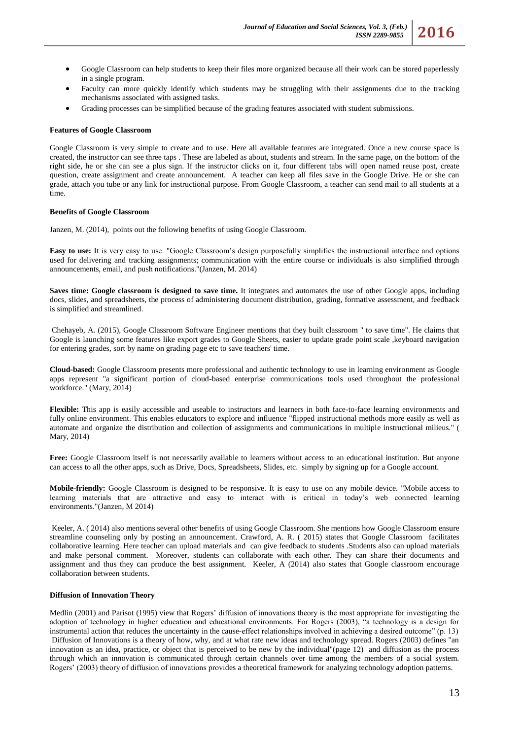- Google Classroom can help students to keep their files more organized because all their work can be stored paperlessly in a single program.
- Faculty can more quickly identify which students may be struggling with their assignments due to the tracking mechanisms associated with assigned tasks.
- Grading processes can be simplified because of the grading features associated with student submissions.

### **Features of Google Classroom**

Google Classroom is very simple to create and to use. Here all available features are integrated. Once a new course space is created, the instructor can see three taps . These are labeled as about, students and stream. In the same page, on the bottom of the right side, he or she can see a plus sign. If the instructor clicks on it, four different tabs will open named reuse post, create question, create assignment and create announcement. A teacher can keep all files save in the Google Drive. He or she can grade, attach you tube or any link for instructional purpose. From Google Classroom, a teacher can send mail to all students at a time.

### **Benefits of Google Classroom**

Janzen, M. (2014), points out the following benefits of using Google Classroom.

**Easy to use:** It is very easy to use. "Google Classroom's design purposefully simplifies the instructional interface and options used for delivering and tracking assignments; communication with the entire course or individuals is also simplified through announcements, email, and push notifications."(Janzen, M. 2014)

**Saves time: Google classroom is designed to save time.** It integrates and automates the use of other Google apps, including docs, slides, and spreadsheets, the process of administering document distribution, grading, formative assessment, and feedback is simplified and streamlined.

Chehayeb, A. (2015), Google Classroom Software Engineer mentions that they built classroom " to save time". He claims that Google is launching some features like export grades to Google Sheets, easier to update grade point scale ,keyboard navigation for entering grades, sort by name on grading page etc to save teachers' time.

**Cloud-based:** Google Classroom presents more professional and authentic technology to use in learning environment as Google apps represent "a significant portion of cloud-based enterprise communications tools used throughout the professional workforce." (Mary, 2014)

**Flexible:** This app is easily accessible and useable to instructors and learners in both face-to-face learning environments and fully online environment. This enables educators to explore and influence "flipped instructional methods more easily as well as automate and organize the distribution and collection of assignments and communications in multiple instructional milieus." ( Mary, 2014)

**Free:** Google Classroom itself is not necessarily available to learners without access to an educational institution. But anyone can access to all the other apps, such as Drive, Docs, Spreadsheets, Slides, etc. simply by signing up for a Google account.

**Mobile-friendly:** Google Classroom is designed to be responsive. It is easy to use on any mobile device. "Mobile access to learning materials that are attractive and easy to interact with is critical in today's web connected learning environments."(Janzen, M 2014)

Keeler, A. ( 2014) also mentions several other benefits of using Google Classroom. She mentions how Google Classroom ensure streamline counseling only by posting an announcement. Crawford, A. R. ( 2015) states that Google Classroom facilitates collaborative learning. Here teacher can upload materials and can give feedback to students .Students also can upload materials and make personal comment. Moreover, students can collaborate with each other. They can share their documents and assignment and thus they can produce the best assignment. Keeler, A (2014) also states that Google classroom encourage collaboration between students.

#### **Diffusion of Innovation Theory**

Medlin (2001) and Parisot (1995) view that Rogers' diffusion of innovations theory is the most appropriate for investigating the adoption of technology in higher education and educational environments. For Rogers (2003), "a technology is a design for instrumental action that reduces the uncertainty in the cause-effect relationships involved in achieving a desired outcome" (p. 13) Diffusion of Innovations is a theory of how, why, and at what rate new ideas and technology spread. Rogers (2003) defines "an innovation as an idea, practice, or object that is perceived to be new by the individual"(page 12) and diffusion as the process through which an innovation is communicated through certain channels over time among the members of a social system. Rogers' (2003) theory of diffusion of innovations provides a theoretical framework for analyzing technology adoption patterns.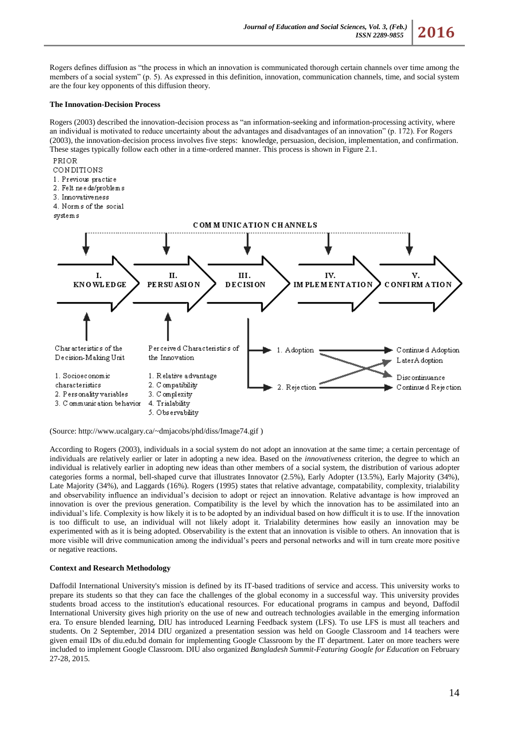Rogers defines diffusion as "the process in which an innovation is communicated thorough certain channels over time among the members of a social system" (p. 5). As expressed in this definition, innovation, communication channels, time, and social system are the four key opponents of this diffusion theory.

## **The Innovation-Decision Process**

Rogers (2003) described the innovation-decision process as "an information-seeking and information-processing activity, where an individual is motivated to reduce uncertainty about the advantages and disadvantages of an innovation" (p. 172). For Rogers (2003), the innovation-decision process involves five steps: knowledge, persuasion, decision, implementation, and confirmation. These stages typically follow each other in a time-ordered manner. This process is shown in Figure 2.1.



(Source: http://www.ucalgary.ca/~dmjacobs/phd/diss/Image74.gif )

According to Rogers (2003), individuals in a social system do not adopt an innovation at the same time; a certain percentage of individuals are relatively earlier or later in adopting a new idea. Based on the *innovativeness* criterion, the degree to which an individual is relatively earlier in adopting new ideas than other members of a social system, the distribution of various adopter categories forms a normal, bell-shaped curve that illustrates Innovator (2.5%), Early Adopter (13.5%), Early Majority (34%), Late Majority (34%), and Laggards (16%). Rogers (1995) states that relative advantage, compatability, complexity, trialability and observability influence an individual's decision to adopt or reject an innovation. Relative advantage is how improved an innovation is over the previous generation. Compatibility is the level by which the innovation has to be assimilated into an individual's life. Complexity is how likely it is to be adopted by an individual based on how difficult it is to use. If the innovation is too difficult to use, an individual will not likely adopt it. Trialability determines how easily an innovation may be experimented with as it is being adopted. Observability is the extent that an innovation is visible to others. An innovation that is more visible will drive communication among the individual's peers and personal networks and will in turn create more positive or negative reactions.

# **Context and Research Methodology**

Daffodil International University's mission is defined by its IT-based traditions of service and access. This university works to prepare its students so that they can face the challenges of the global economy in a successful way. This university provides students broad access to the institution's educational resources. For educational programs in campus and beyond, Daffodil International University gives high priority on the use of new and outreach technologies available in the emerging information era. To ensure blended learning, DIU has introduced Learning Feedback system (LFS). To use LFS is must all teachers and students. On 2 September, 2014 DIU organized a presentation session was held on Google Classroom and 14 teachers were given email IDs of [diu.edu.bd](http://diu.edu.bd/) domain for implementing Google Classroom by the IT department. Later on more teachers were included to implement Google Classroom. DIU also organized *Bangladesh Summit-Featuring Google for Education* on February 27-28, 2015.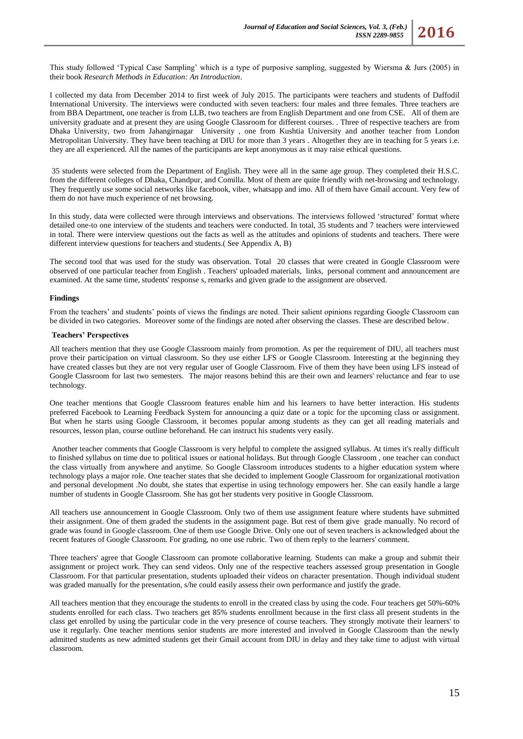I collected my data from December 2014 to first week of July 2015. The participants were teachers and students of Daffodil International University. The interviews were conducted with seven teachers: four males and three females. Three teachers are from BBA Department, one teacher is from LLB, two teachers are from English Department and one from CSE. All of them are university graduate and at present they are using Google Classroom for different courses. . Three of respective teachers are from Dhaka University, two from Jahangirnagar University , one from Kushtia University and another teacher from London Metropolitan University. They have been teaching at DIU for more than 3 years . Altogether they are in teaching for 5 years i.e. they are all experienced. All the names of the participants are kept anonymous as it may raise ethical questions.

35 students were selected from the Department of English. They were all in the same age group. They completed their H.S.C. from the different colleges of Dhaka, Chandpur, and Comilla. Most of them are quite friendly with net-browsing and technology. They frequently use some social networks like facebook, viber, whatsapp and imo. All of them have Gmail account. Very few of them do not have much experience of net browsing.

In this study, data were collected were through interviews and observations. The interviews followed 'structured' format where detailed one-to one interview of the students and teachers were conducted. In total, 35 students and 7 teachers were interviewed in total. There were interview questions out the facts as well as the attitudes and opinions of students and teachers. There were different interview questions for teachers and students.( See Appendix A, B)

The second tool that was used for the study was observation. Total 20 classes that were created in Google Classroom were observed of one particular teacher from English . Teachers' uploaded materials, links, personal comment and announcement are examined. At the same time, students' response s, remarks and given grade to the assignment are observed.

# **Findings**

From the teachers' and students' points of views the findings are noted. Their salient opinions regarding Google Classroom can be divided in two categories. Moreover some of the findings are noted after observing the classes. These are described below.

#### **Teachers' Perspectives**

All teachers mention that they use Google Classroom mainly from promotion. As per the requirement of DIU, all teachers must prove their participation on virtual classroom. So they use either LFS or Google Classroom. Interesting at the beginning they have created classes but they are not very regular user of Google Classroom. Five of them they have been using LFS instead of Google Classroom for last two semesters. The major reasons behind this are their own and learners' reluctance and fear to use technology.

One teacher mentions that Google Classroom features enable him and his learners to have better interaction. His students preferred Facebook to Learning Feedback System for announcing a quiz date or a topic for the upcoming class or assignment. But when he starts using Google Classroom, it becomes popular among students as they can get all reading materials and resources, lesson plan, course outline beforehand. He can instruct his students very easily.

Another teacher comments that Google Classroom is very helpful to complete the assigned syllabus. At times it's really difficult to finished syllabus on time due to political issues or national holidays. But through Google Classroom , one teacher can conduct the class virtually from anywhere and anytime. So Google Classroom introduces students to a higher education system where technology plays a major role. One teacher states that she decided to implement Google Classroom for organizational motivation and personal development .No doubt, she states that expertise in using technology empowers her. She can easily handle a large number of students in Google Classroom. She has got her students very positive in Google Classroom.

All teachers use announcement in Google Classroom. Only two of them use assignment feature where students have submitted their assignment. One of them graded the students in the assignment page. But rest of them give grade manually. No record of grade was found in Google classroom. One of them use Google Drive. Only one out of seven teachers is acknowledged about the recent features of Google Classroom. For grading, no one use rubric. Two of them reply to the learners' comment.

Three teachers' agree that Google Classroom can promote collaborative learning. Students can make a group and submit their assignment or project work. They can send videos. Only one of the respective teachers assessed group presentation in Google Classroom. For that particular presentation, students uploaded their videos on character presentation. Though individual student was graded manually for the presentation, s/he could easily assess their own performance and justify the grade.

All teachers mention that they encourage the students to enroll in the created class by using the code. Four teachers get 50%-60% students enrolled for each class. Two teachers get 85% students enrollment because in the first class all present students in the class get enrolled by using the particular code in the very presence of course teachers. They strongly motivate their learners' to use it regularly. One teacher mentions senior students are more interested and involved in Google Classroom than the newly admitted students as new admitted students get their Gmail account from DIU in delay and they take time to adjust with virtual classroom.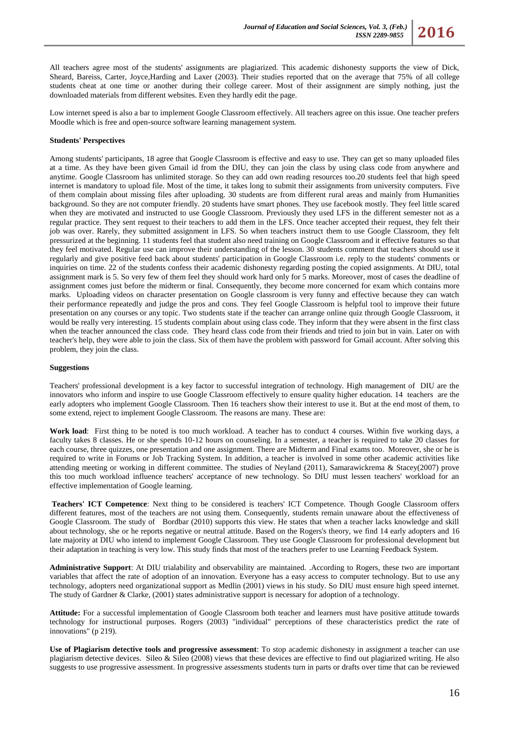All teachers agree most of the students' assignments are plagiarized. This academic dishonesty supports the view of Dick, Sheard, Bareiss, Carter, Joyce,Harding and Laxer (2003). Their studies reported that on the average that 75% of all college students cheat at one time or another during their college career. Most of their assignment are simply nothing, just the downloaded materials from different websites. Even they hardly edit the page.

Low internet speed is also a bar to implement Google Classroom effectively. All teachers agree on this issue. One teacher prefers Moodle which is free and open-source software learning management system.

## **Students' Perspectives**

Among students' participants, 18 agree that Google Classroom is effective and easy to use. They can get so many uploaded files at a time. As they have been given Gmail id from the DIU, they can join the class by using class code from anywhere and anytime. Google Classroom has unlimited storage. So they can add own reading resources too.20 students feel that high speed internet is mandatory to upload file. Most of the time, it takes long to submit their assignments from university computers. Five of them complain about missing files after uploading. 30 students are from different rural areas and mainly from Humanities background. So they are not computer friendly. 20 students have smart phones. They use facebook mostly. They feel little scared when they are motivated and instructed to use Google Classroom. Previously they used LFS in the different semester not as a regular practice. They sent request to their teachers to add them in the LFS. Once teacher accepted their request, they felt their job was over. Rarely, they submitted assignment in LFS. So when teachers instruct them to use Google Classroom, they felt pressurized at the beginning. 11 students feel that student also need training on Google Classroom and it effective features so that they feel motivated. Regular use can improve their understanding of the lesson. 30 students comment that teachers should use it regularly and give positive feed back about students' participation in Google Classroom i.e. reply to the students' comments or inquiries on time. 22 of the students confess their academic dishonesty regarding posting the copied assignments. At DIU, total assignment mark is 5. So very few of them feel they should work hard only for 5 marks. Moreover, most of cases the deadline of assignment comes just before the midterm or final. Consequently, they become more concerned for exam which contains more marks. Uploading videos on character presentation on Google classroom is very funny and effective because they can watch their performance repeatedly and judge the pros and cons. They feel Google Classroom is helpful tool to improve their future presentation on any courses or any topic. Two students state if the teacher can arrange online quiz through Google Classroom, it would be really very interesting. 15 students complain about using class code. They inform that they were absent in the first class when the teacher announced the class code. They heard class code from their friends and tried to join but in vain. Later on with teacher's help, they were able to join the class. Six of them have the problem with password for Gmail account. After solving this problem, they join the class.

#### **Suggestions**

Teachers' professional development is a key factor to successful integration of technology. High management of DIU are the innovators who inform and inspire to use Google Classroom effectively to ensure quality higher education. 14 teachers are the early adopters who implement Google Classroom. Then 16 teachers show their interest to use it. But at the end most of them, to some extend, reject to implement Google Classroom. The reasons are many. These are:

**Work load**: First thing to be noted is too much workload. A teacher has to conduct 4 courses. Within five working days, a faculty takes 8 classes. He or she spends 10-12 hours on counseling. In a semester, a teacher is required to take 20 classes for each course, three quizzes, one presentation and one assignment. There are Midterm and Final exams too. Moreover, she or he is required to write in Forums or Job Tracking System. In addition, a teacher is involved in some other academic activities like attending meeting or working in different committee. The studies of Neyland (2011), Samarawickrema & Stacey(2007) prove this too much workload influence teachers' acceptance of new technology. So DIU must lessen teachers' workload for an effective implementation of Google learning.

**Teachers' ICT Competence**: Next thing to be considered is teachers' ICT Competence. Though Google Classroom offers different features, most of the teachers are not using them. Consequently, students remain unaware about the effectiveness of Google Classroom. The study of Bordbar (2010) supports this view. He states that when a teacher lacks knowledge and skill about technology, she or he reports negative or neutral attitude. Based on the Rogers's theory, we find 14 early adopters and 16 late majority at DIU who intend to implement Google Classroom. They use Google Classroom for professional development but their adaptation in teaching is very low. This study finds that most of the teachers prefer to use Learning Feedback System.

**Administrative Support**: At DIU trialability and observability are maintained. .According to Rogers, these two are important variables that affect the rate of adoption of an innovation. Everyone has a easy access to computer technology. But to use any technology, adopters need organizational support as Medlin (2001) views in his study. So DIU must ensure high speed internet. The study of Gardner & Clarke, (2001) states administrative support is necessary for adoption of a technology.

**Attitude:** For a successful implementation of Google Classroom both teacher and learners must have positive attitude towards technology for instructional purposes. Rogers (2003) "individual" perceptions of these characteristics predict the rate of innovations" (p 219).

**Use of Plagiarism detective tools and progressive assessment**: To stop academic dishonesty in assignment a teacher can use plagiarism detective devices. Sileo & Sileo (2008) views that these devices are effective to find out plagiarized writing. He also suggests to use progressive assessment. In progressive assessments students turn in parts or drafts over time that can be reviewed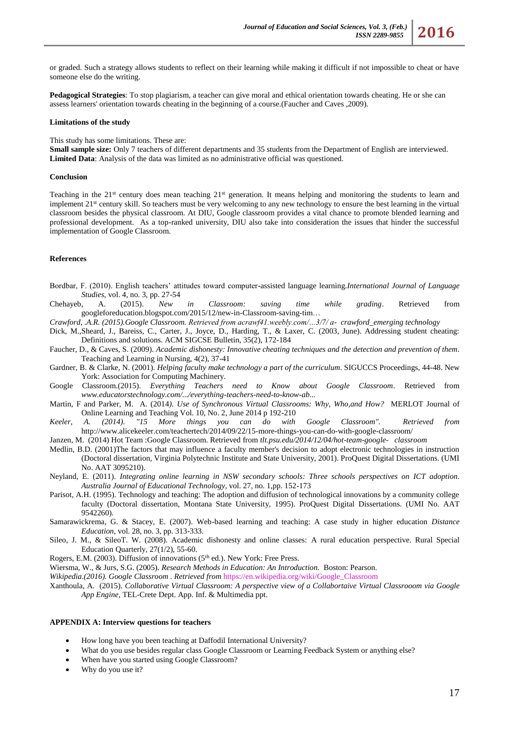or graded. Such a strategy allows students to reflect on their learning while making it difficult if not impossible to cheat or have someone else do the writing.

**Pedagogical Strategies**: To stop plagiarism, a teacher can give moral and ethical orientation towards cheating. He or she can assess learners' orientation towards cheating in the beginning of a course.(Faucher and Caves ,2009).

#### **Limitations of the study**

This study has some limitations. These are:

**Small sample size:** Only 7 teachers of different departments and 35 students from the Department of English are interviewed. **Limited Data**: Analysis of the data was limited as no administrative official was questioned.

### **Conclusion**

Teaching in the  $21<sup>st</sup>$  century does mean teaching  $21<sup>st</sup>$  generation. It means helping and monitoring the students to learn and implement 21<sup>st</sup> century skill. So teachers must be very welcoming to any new technology to ensure the best learning in the virtual classroom besides the physical classroom. At DIU, Google classroom provides a vital chance to promote blended learning and professional development. As a top-ranked university, DIU also take into consideration the issues that hinder the successful implementation of Google Classroom.

# **References**

- Bordbar, F. (2010). English teachers' attitudes toward computer-assisted language learning.*International Journal of Language Studies*, vol. 4, no. 3, pp. 27-54
- Chehayeb, A. (2015). *New in Classroom: saving time while grading*. Retrieved from googleforeducation.blogspot.com/2015/12/new-in-Classroom-saving-tim…
- *Crawford, .A.R. (2015).Google Classroom. Retrieved from acrawf41.weebly.com/…3/7/ a- crawford\_emerging technology*
- Dick, M.,Sheard, J., Bareiss, C., Carter, J., Joyce, D., Harding, T., & Laxer, C. (2003, June). Addressing student cheating: Definitions and solutions. ACM SIGCSE Bulletin, 35(2), 172-184
- Faucher, D., & Caves, S. (2009). *Academic dishonesty: Innovative cheating techniques and the detection and prevention of them*. Teaching and Learning in Nursing, 4(2), 37-41
- Gardner, B. & Clarke, N. (2001). *Helping faculty make technology a part of the curriculum*. SIGUCCS Proceedings, 44-48. New York: Association for Computing Machinery.
- Google Classroom.(2015). *Everything Teachers need to Know about Google Classroom*. Retrieved from *www.educatorstechnology.com/.../everything-teachers-need-to-know-ab...*
- Martin, F and Parker, M. A. (2014*). Use of Synchronous Virtual Classrooms: Why, Who,and How?* MERLOT Journal of Online Learning and Teaching Vol. 10, No. 2, June 2014 p 192-210
- *Keeler, A. (2014). "15 More things you can do with Google Classroom". Retrieved from*  <http://www.alicekeeler.com/teachertech/2014/09/22/15-more-things-you-can-do-with-google-classroom/>
- Janzen, M. (2014) Hot Team :Google Classroom. Retrieved from *tlt.psu.edu/2014/12/04/hot-team-google- classroom*
- Medlin, B.D. (2001)The factors that may influence a faculty member's decision to adopt electronic technologies in instruction (Doctoral dissertation, Virginia Polytechnic Institute and State University, 2001). ProQuest Digital Dissertations. (UMI No. AAT 3095210).
- Neyland, E. (2011). *Integrating online learning in NSW secondary schools: Three schools perspectives on ICT adoption*. *Australia Journal of Educational Technology*, vol. 27, no. 1,pp. 152-173
- Parisot, A.H. (1995). Technology and teaching: The adoption and diffusion of technological innovations by a community college faculty (Doctoral dissertation, Montana State University, 1995). ProQuest Digital Dissertations. (UMI No. AAT 9542260).
- Samarawickrema, G. & Stacey, E. (2007). Web-based learning and teaching: A case study in higher education *Distance Education*, vol. 28, no. 3, pp. 313-333.
- Sileo, J. M., & SileoT. W. (2008). Academic dishonesty and online classes: A rural education perspective. Rural Special Education Quarterly, 27(1/2), 55-60.
- Rogers, E.M. (2003). Diffusion of innovations ( $5<sup>th</sup>$  ed.). New York: Free Press.
- Wiersma, W., & Jurs, S.G. (2005). *Research Methods in Education: An Introduction.* Boston: Pearson.
- *Wikipedia.(2016). Google Classroom . Retrieved from* [https://en.wikipedia.org/wiki/Google\\_Classroom](https://en.wikipedia.org/wiki/Google_Classroom)
- Xanthoula, A. (2015). *Collaborative Virtual Classroom: A perspective view of a Collabortaive Virtual Classrooom via Google App Engine*, TEL-Crete Dept. App. Inf. & Multimedia ppt.

# **APPENDIX A: Interview questions for teachers**

- How long have you been teaching at Daffodil International University?
- What do you use besides regular class Google Classroom or Learning Feedback System or anything else?
- When have you started using Google Classroom?
- Why do you use it?